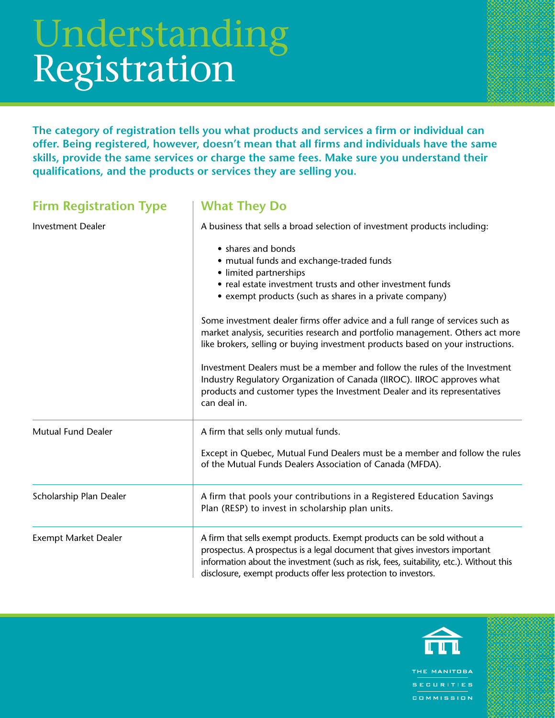## Understanding Registration

**The category of registration tells you what products and services a firm or individual can offer. Being registered, however, doesn't mean that all firms and individuals have the same skills, provide the same services or charge the same fees. Make sure you understand their qualifications, and the products or services they are selling you.**

| <b>Firm Registration Type</b> | <b>What They Do</b>                                                                                                                                                                                                                                                                                                  |
|-------------------------------|----------------------------------------------------------------------------------------------------------------------------------------------------------------------------------------------------------------------------------------------------------------------------------------------------------------------|
| <b>Investment Dealer</b>      | A business that sells a broad selection of investment products including:                                                                                                                                                                                                                                            |
|                               | • shares and bonds<br>• mutual funds and exchange-traded funds<br>• limited partnerships<br>• real estate investment trusts and other investment funds<br>• exempt products (such as shares in a private company)                                                                                                    |
|                               | Some investment dealer firms offer advice and a full range of services such as<br>market analysis, securities research and portfolio management. Others act more<br>like brokers, selling or buying investment products based on your instructions.                                                                  |
|                               | Investment Dealers must be a member and follow the rules of the Investment<br>Industry Regulatory Organization of Canada (IIROC). IIROC approves what<br>products and customer types the Investment Dealer and its representatives<br>can deal in.                                                                   |
| <b>Mutual Fund Dealer</b>     | A firm that sells only mutual funds.                                                                                                                                                                                                                                                                                 |
|                               | Except in Quebec, Mutual Fund Dealers must be a member and follow the rules<br>of the Mutual Funds Dealers Association of Canada (MFDA).                                                                                                                                                                             |
| Scholarship Plan Dealer       | A firm that pools your contributions in a Registered Education Savings<br>Plan (RESP) to invest in scholarship plan units.                                                                                                                                                                                           |
| <b>Exempt Market Dealer</b>   | A firm that sells exempt products. Exempt products can be sold without a<br>prospectus. A prospectus is a legal document that gives investors important<br>information about the investment (such as risk, fees, suitability, etc.). Without this<br>disclosure, exempt products offer less protection to investors. |